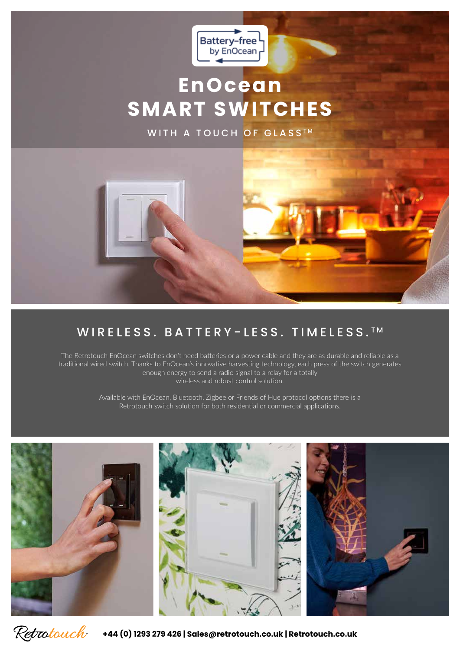

# **EnOcean SMART SWITCHES**

WITH A TOUCH OF GLASS<sup>TM</sup>



### WIRELESS. BATTERY-LESS. TIMELESS. TM

The Retrotouch EnOcean switches don't need batteries or a power cable and they are as durable and reliable as a traditional wired switch. Thanks to EnOcean's innovative harvesting technology, each press of the switch generates enough energy to send a radio signal to a relay for a totally wireless and robust control solution.

> Available with EnOcean, Bluetooth, Zigbee or Friends of Hue protocol options there is a Retrotouch switch solution for both residential or commercial applications.





**+44 (0) 1293 279 426 | Sales@retrotouch.co.uk | Retrotouch.co.uk**